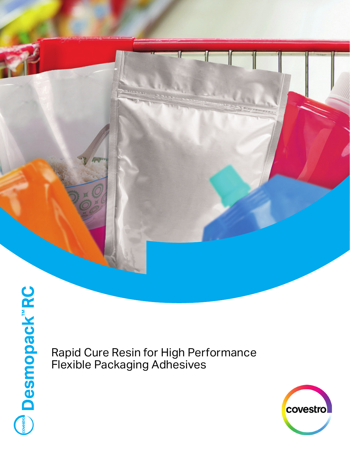

Rapid Cure Resin for High Performance Flexible Packaging Adhesives

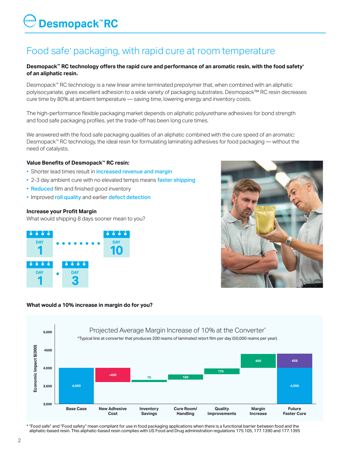# $\theta$  Desmopack  $\mathbb R$ RC

# Food safe\* packaging, with rapid cure at room temperature

#### **Desmopack™ RC technology offers the rapid cure and performance of an aromatic resin, with the food safety\* of an aliphatic resin.**

Desmopack™ RC technology is a new linear amine terminated prepolymer that, when combined with an aliphatic polyisocyanate, gives excellent adhesion to a wide variety of packaging substrates. Desmopack™ RC resin decreases cure time by 80% at ambient temperature — saving time, lowering energy and inventory costs.

The high-performance flexible packaging market depends on aliphatic polyurethane adhesives for bond strength and food safe packaging profiles, yet the trade-off has been long cure times.

We answered with the food safe packaging qualities of an aliphatic combined with the cure speed of an aromatic: Desmopack™ RC technology, the ideal resin for formulating laminating adhesives for food packaging — without the need of catalysts.

#### **Value Benefits of Desmopack™ RC resin:**

- Shorter lead times result in increased revenue and margin
- 2-3 day ambient cure with no elevated temps means faster shipping
- Reduced film and finished good inventory
- Improved roll quality and earlier defect detection

#### **Increase your Profit Margin**

What would shipping 8 days sooner mean to you?





#### **What would a 10% increase in margin do for you?**



\* "Food safe" and "Food safety" mean compliant for use in food packaging applications when there is a functional barrier between food and the aliphatic-based resin. This aliphatic-based resin complies with US Food and Drug administration regulations 175.105, 177.1390 and 177.1395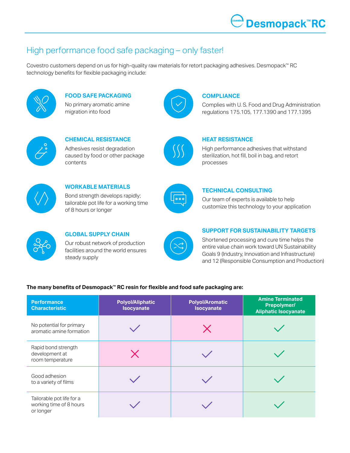### High performance food safe packaging – only faster!

Covestro customers depend on us for high-quality raw materials for retort packaging adhesives. Desmopack™ RC technology benefits for flexible packaging include:



**FOOD SAFE PACKAGING** No primary aromatic amine migration into food



#### **COMPLIANCE**

Complies with U. S. Food and Drug Administration regulations 175.105, 177.1390 and 177.1395



**CHEMICAL RESISTANCE** Adhesives resist degradation caused by food or other package contents



#### **HEAT RESISTANCE**

High performance adhesives that withstand sterilization, hot fill, boil in bag, and retort processes



**WORKABLE MATERIALS** Bond strength develops rapidly; tailorable pot life for a working time of 8 hours or longer



#### **TECHNICAL CONSULTING**

Our team of experts is available to help customize this technology to your application



#### **GLOBAL SUPPLY CHAIN** Our robust network of production

facilities around the world ensures steady supply



#### **SUPPORT FOR SUSTAINABILITY TARGETS**

Shortened processing and cure time helps the entire value chain work toward UN Sustainability Goals 9 (Industry, Innovation and Infrastructure) and 12 (Responsible Consumption and Production)

#### **The many benefits of Desmopack™ RC resin for flexible and food safe packaging are:**

| <b>Performance</b><br><b>Characteristic</b>                       | <b>Polyol/Aliphatic</b><br><b>Isocyanate</b> | <b>Polyol/Aromatic</b><br><b>Isocyanate</b> | <b>Amine Terminated</b><br>Prepolymer/<br><b>Aliphatic Isocyanate</b> |
|-------------------------------------------------------------------|----------------------------------------------|---------------------------------------------|-----------------------------------------------------------------------|
| No potential for primary<br>aromatic amine formation              |                                              | $\bm{\times}$                               |                                                                       |
| Rapid bond strength<br>development at<br>room temperature         | $\boldsymbol{\times}$                        |                                             |                                                                       |
| Good adhesion<br>to a variety of films                            |                                              |                                             |                                                                       |
| Tailorable pot life for a<br>working time of 8 hours<br>or longer |                                              |                                             |                                                                       |